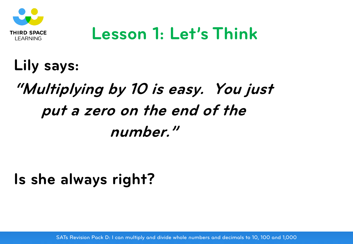

#### **Lesson 1: Let's Think**

#### **Lily says:**

## **"Multiplying by 10 is easy. You just put a zero on the end of the number."**

#### **Is she always right?**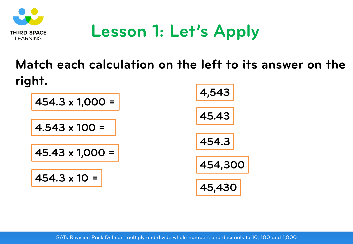

### **Lesson 1: Let's Apply**

#### **Match each calculation on the left to its answer on the right.**

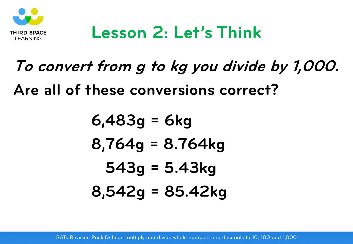

### **Lesson 2: Let's Think**

# **To convert from g to kg you divide by 1,000. Are all of these conversions correct?**

$$
6,483g = 6kg
$$
  
\n $8,764g = 8.764kg$   
\n $543g = 5.43kg$   
\n $8,542g = 85.42kg$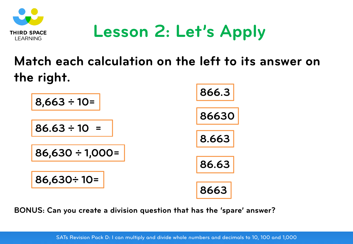

## **Lesson 2: Let's Apply**

#### **Match each calculation on the left to its answer on the right.**



**BONUS: Can you create a division question that has the 'spare' answer?**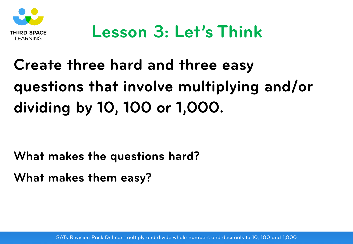

# **Create three hard and three easy questions that involve multiplying and/or dividing by 10, 100 or 1,000.**

**What makes the questions hard?** 

**What makes them easy?**